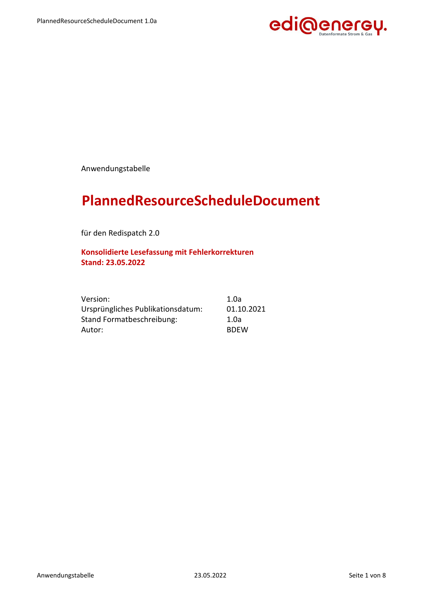

Anwendungstabelle

## **PlannedResourceScheduleDocument**

für den Redispatch 2.0

**Konsolidierte Lesefassung mit Fehlerkorrekturen Stand: 23.05.2022**

| Version:                          | 1.0a        |
|-----------------------------------|-------------|
| Ursprüngliches Publikationsdatum: | 01.10.2021  |
| Stand Formatbeschreibung:         | 1.0a        |
| Autor:                            | <b>BDFW</b> |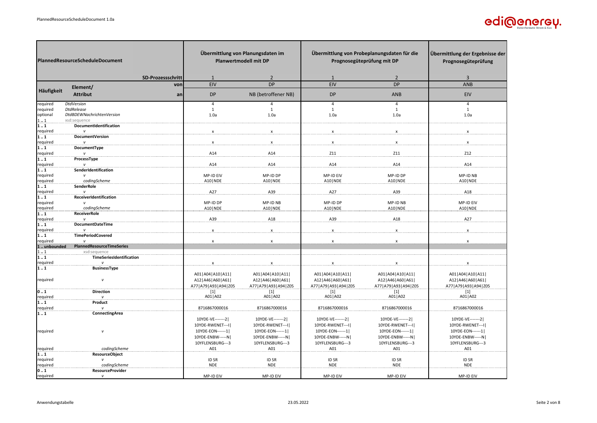

| PlannedResourceScheduleDocument<br><b>SD-Prozessschritt</b> |                                           | Übermittlung von Planungsdaten im<br><b>Planwertmodell mit DP</b><br>$\overline{2}$<br>1 |                             | Übermittlung von Probeplanungsdaten für die<br>Prognosegüteprüfung mit DP<br>$\mathbf{1}$ | Übermittlung der Ergebnisse der<br>Prognosegüteprüfung<br>3 |                             |                             |
|-------------------------------------------------------------|-------------------------------------------|------------------------------------------------------------------------------------------|-----------------------------|-------------------------------------------------------------------------------------------|-------------------------------------------------------------|-----------------------------|-----------------------------|
|                                                             |                                           | von                                                                                      | <b>EIV</b>                  | <b>DP</b>                                                                                 | EIV                                                         | $\overline{2}$<br><b>DP</b> | ANB                         |
| Häufigkeit                                                  | Element/                                  |                                                                                          |                             |                                                                                           |                                                             |                             |                             |
|                                                             | <b>Attribut</b>                           | an                                                                                       | <b>DP</b>                   | NB (betroffener NB)                                                                       | <b>DP</b>                                                   | <b>ANB</b>                  | EIV                         |
| required                                                    | <b>DtdVersion</b>                         |                                                                                          | $\overline{4}$              | $\overline{4}$                                                                            | $\overline{4}$                                              | $\overline{4}$              | 4                           |
| required                                                    | <b>DtdRelease</b>                         |                                                                                          | 1                           | 1                                                                                         | $\mathbf{1}$                                                | $\mathbf{1}$                | $\mathbf{1}$                |
| optional<br>11                                              | DtdBDEWNachrichtenVersion<br>xsd:sequence |                                                                                          | 1.0a                        | 1.0a                                                                                      | 1.0a                                                        | 1.0a                        | 1.0a                        |
| ${\bf 1} \ldots {\bf 1}$                                    | DocumentIdentification                    |                                                                                          |                             |                                                                                           |                                                             |                             |                             |
| required                                                    |                                           |                                                                                          | x                           | $\pmb{\mathsf{x}}$                                                                        | $\boldsymbol{\mathsf{x}}$                                   | $\pmb{\chi}$                | x                           |
| 11                                                          | DocumentVersion                           |                                                                                          |                             |                                                                                           |                                                             |                             |                             |
| required                                                    |                                           |                                                                                          | $\pmb{\mathsf{x}}$          | $\pmb{\mathsf{x}}$                                                                        | $\mathsf{x}$                                                | $\mathsf{x}$                | $\pmb{\mathsf{x}}$          |
| 11                                                          | DocumentType                              |                                                                                          |                             | A14                                                                                       | Z11                                                         | Z11                         | Z12                         |
| required<br>11                                              | ProcessType                               |                                                                                          | A14                         |                                                                                           |                                                             |                             |                             |
| required                                                    |                                           |                                                                                          | A14                         | A14                                                                                       | A14                                                         | A14                         | A14                         |
| 11                                                          | SenderIdentification                      |                                                                                          |                             |                                                                                           |                                                             |                             |                             |
| required                                                    |                                           |                                                                                          | MP-ID EIV                   | MP-ID DP                                                                                  | MP-ID EIV                                                   | MP-ID DP                    | MP-ID NB                    |
| required                                                    | codingScheme                              |                                                                                          | A10   NDE                   | A10   NDE                                                                                 | A10   NDE                                                   | A10   NDE                   | A10   NDE                   |
| 11<br>required                                              | SenderRole                                |                                                                                          | A27                         | A39                                                                                       | A27                                                         | A39                         | A18                         |
| 11                                                          | ReceiverIdentification                    |                                                                                          |                             |                                                                                           |                                                             |                             |                             |
| required                                                    |                                           |                                                                                          | MP-ID DP                    | MP-ID NB                                                                                  | MP-ID DP                                                    | MP-ID NB                    | MP-ID EIV                   |
| required                                                    | codingScheme                              |                                                                                          | A10   NDE                   | A10   NDE                                                                                 | A10   NDE                                                   | A10   NDE                   | A10   NDE                   |
| 11                                                          | <b>ReceiverRole</b>                       |                                                                                          |                             |                                                                                           |                                                             |                             |                             |
| required                                                    | <b>DocumentDateTime</b>                   |                                                                                          | A39                         | A18                                                                                       | A39                                                         | A18                         | A27                         |
| 11<br>required                                              |                                           |                                                                                          | $\boldsymbol{\mathsf{x}}$   | $\pmb{\chi}$                                                                              | $\mathsf{x}$                                                | $\pmb{\chi}$                | $\pmb{\mathsf{x}}$          |
| 11                                                          | <b>TimePeriodCovered</b>                  |                                                                                          |                             |                                                                                           |                                                             |                             |                             |
| required                                                    | $\mathbf{v}$                              |                                                                                          | $\pmb{\mathsf{x}}$          | $\mathsf{x}$                                                                              | $\pmb{\mathsf{x}}$                                          | $\pmb{\chi}$                | $\pmb{\chi}$                |
| 1 unbounded                                                 | <b>PlannedResourceTimeSeries</b>          |                                                                                          |                             |                                                                                           |                                                             |                             |                             |
| 11<br>11                                                    | xsd:sequence<br>TimeSeriesIdentification  |                                                                                          |                             |                                                                                           |                                                             |                             |                             |
| required                                                    |                                           |                                                                                          | x                           | x                                                                                         |                                                             | $\boldsymbol{x}$            | x                           |
| 11                                                          | <b>BusinessType</b>                       |                                                                                          |                             |                                                                                           |                                                             |                             |                             |
|                                                             |                                           |                                                                                          | A01   A04   A10   A11       | A01   A04   A10   A11                                                                     | A01   A04   A10   A11                                       | A01   A04   A10   A11       | A01   A04   A10   A11       |
| required                                                    | $\mathsf{v}$                              |                                                                                          | A12   A46   A60   A61       | A12   A46   A60   A61                                                                     | A12   A46   A60   A61                                       | A12   A46   A60   A61       | A12   A46   A60   A61       |
|                                                             |                                           |                                                                                          | A77   A79   A93   A94   Z05 | A77   A79   A93   A94   Z05                                                               | A77   A79   A93   A94   Z05                                 | A77   A79   A93   A94   Z05 | A77   A79   A93   A94   Z05 |
| 01<br>required                                              | <b>Direction</b><br>v                     |                                                                                          | $[1]$<br>A01   A02          | $[1]$<br>A01   A02                                                                        | $[1]$<br>A01   A02                                          | $[1]$<br>A01   A02          | $[1]$<br>A01   A02          |
| 11                                                          | Product                                   |                                                                                          |                             |                                                                                           |                                                             |                             |                             |
| required                                                    |                                           |                                                                                          | 8716867000016               | 8716867000016                                                                             | 8716867000016                                               | 8716867000016               | 8716867000016               |
| 11                                                          | ConnectingArea                            |                                                                                          |                             |                                                                                           |                                                             |                             |                             |
|                                                             |                                           |                                                                                          | 10YDE-VE-------2            | 10YDE-VE-------2                                                                          | 10YDE-VE-------2                                            | 10YDE-VE-------2            | 10YDE-VE-------2            |
|                                                             |                                           |                                                                                          | 10YDE-RWENET---I            | 10YDE-RWENET---I                                                                          | 10YDE-RWENET---I                                            | 10YDE-RWENET---I            | 10YDE-RWENET---I            |
| required                                                    | $\boldsymbol{\mathsf{v}}$                 |                                                                                          | 10YDE-EON------1            | 10YDE-EON------1                                                                          | 10YDE-EON------1                                            | 10YDE-EON------1            | 10YDE-EON------1            |
|                                                             |                                           |                                                                                          | 10YDE-ENBW-----N            | 10YDE-ENBW-----N                                                                          | 10YDE-ENBW-----N                                            | 10YDE-ENBW-----N            | 10YDE-ENBW-----N            |
| required                                                    | codingScheme                              |                                                                                          | 10YFLENSBURG---3<br>A01     | 10YFLENSBURG---3<br>A01                                                                   | 10YFLENSBURG---3<br>A01                                     | 10YFLENSBURG---3<br>A01     | 10YFLENSBURG---3<br>A01     |
| 11                                                          | <b>ResourceObject</b>                     |                                                                                          |                             |                                                                                           |                                                             |                             |                             |
| required                                                    | $\mathsf{v}$                              |                                                                                          | ID SR                       | <b>IDSR</b>                                                                               | <b>IDSR</b>                                                 | <b>IDSR</b>                 | <b>IDSR</b>                 |
| required                                                    | codingScheme                              |                                                                                          | <b>NDE</b>                  | <b>NDE</b>                                                                                | <b>NDE</b>                                                  | <b>NDE</b>                  | <b>NDE</b>                  |
| 01                                                          | <b>ResourceProvider</b>                   |                                                                                          |                             |                                                                                           |                                                             |                             |                             |
| required                                                    | $\mathsf{v}$                              |                                                                                          | MP-ID EIV                   | MP-ID EIV                                                                                 | MP-ID EIV                                                   | MP-ID EIV                   | MP-ID EIV                   |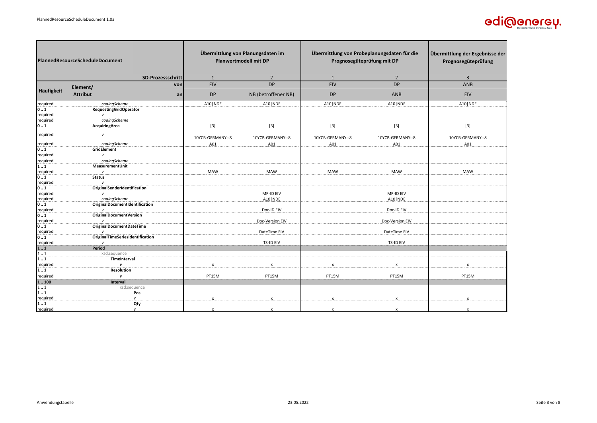

| PlannedResourceScheduleDocument           |                                                         | Übermittlung von Planungsdaten im<br><b>Planwertmodell mit DP</b> |                          | Übermittlung von Probeplanungsdaten für die<br>Prognosegüteprüfung mit DP |                                   | Übermittlung der Ergebnisse der<br>Prognosegüteprüfung |
|-------------------------------------------|---------------------------------------------------------|-------------------------------------------------------------------|--------------------------|---------------------------------------------------------------------------|-----------------------------------|--------------------------------------------------------|
|                                           | SD-Prozessschritt                                       | 1                                                                 | $\overline{\phantom{a}}$ |                                                                           | $\overline{2}$                    | $\overline{3}$                                         |
|                                           | von<br>Element/                                         | <b>EIV</b>                                                        | DP                       | <b>EIV</b>                                                                | <b>DP</b>                         | ANB                                                    |
| Häufigkeit                                | <b>Attribut</b><br>an                                   | <b>DP</b>                                                         | NB (betroffener NB)      | <b>DP</b>                                                                 | ANB                               | <b>EIV</b>                                             |
| required                                  | codingScheme                                            | A10   NDE                                                         | A10   NDE                | A10   NDE                                                                 | A10   NDE                         | A10   NDE                                              |
| 01                                        | <b>RequestingGridOperator</b>                           |                                                                   |                          |                                                                           |                                   |                                                        |
| required                                  | $\mathsf{v}$                                            |                                                                   |                          |                                                                           |                                   |                                                        |
| required<br>$\mathbf{0} \dots \mathbf{1}$ | codingScheme<br>AcquiringArea                           | $\boxed{3}$                                                       | $[3]$                    | $\boxed{3}$                                                               | $\begin{bmatrix} 3 \end{bmatrix}$ | $[3]$                                                  |
|                                           |                                                         |                                                                   |                          |                                                                           |                                   |                                                        |
| required                                  | v                                                       | 10YCB-GERMANY--8                                                  | 10YCB-GERMANY--8         | 10YCB-GERMANY--8                                                          | 10YCB-GERMANY--8                  | 10YCB-GERMANY--8                                       |
| required                                  | codingScheme                                            | A01                                                               | A01                      | A01                                                                       | A01                               | A01                                                    |
| 01                                        | GridElement                                             |                                                                   |                          |                                                                           |                                   |                                                        |
| required                                  | $\mathbf{v}$                                            |                                                                   |                          |                                                                           |                                   |                                                        |
| required<br>11                            | codingScheme<br>MeasurementUnit                         |                                                                   |                          |                                                                           |                                   |                                                        |
| required                                  | $\mathsf{v}$                                            | MAW                                                               | <b>MAW</b>               | <b>MAW</b>                                                                | <b>MAW</b>                        | MAW                                                    |
| 01                                        | <b>Status</b>                                           |                                                                   |                          |                                                                           |                                   |                                                        |
| required                                  |                                                         |                                                                   |                          |                                                                           |                                   |                                                        |
| 01                                        | OriginalSenderIdentification                            |                                                                   |                          |                                                                           |                                   |                                                        |
| required                                  | $\mathsf{v}$                                            |                                                                   | MP-ID EIV                |                                                                           | MP-ID EIV                         |                                                        |
| required                                  | codingScheme                                            |                                                                   | A10   NDE                |                                                                           | A10   NDE                         |                                                        |
| 01<br>required                            | OriginalDocumentIdentification<br>$\mathbf{v}$          |                                                                   | Doc-ID EIV               |                                                                           | Doc-ID EIV                        |                                                        |
| 01                                        | <b>OriginalDocumentVersion</b>                          |                                                                   |                          |                                                                           |                                   |                                                        |
| required                                  |                                                         |                                                                   | Doc-Version EIV          |                                                                           | Doc-Version EIV                   |                                                        |
| 0.1                                       | OriginalDocumentDateTime                                |                                                                   |                          |                                                                           |                                   |                                                        |
| required                                  | $\mathbf{v}$<br><b>OriginalTimeSeriesIdentification</b> |                                                                   | DateTime EIV             |                                                                           | DateTime EIV                      |                                                        |
| 0.1<br>required                           | $\mathbf{v}$                                            |                                                                   | TS-ID EIV                |                                                                           | <b>TS-ID EIV</b>                  |                                                        |
| 11                                        | Period                                                  |                                                                   |                          |                                                                           |                                   |                                                        |
| 11                                        | xsd:sequence                                            |                                                                   |                          |                                                                           |                                   |                                                        |
| 11                                        | TimeInterval                                            |                                                                   |                          |                                                                           |                                   |                                                        |
| required                                  | $\mathbf{v}$                                            | $\pmb{\chi}$                                                      | $\mathbf{x}$             | $\mathsf{x}$                                                              | $\mathbf{x}$                      | $\pmb{\chi}$                                           |
| 11                                        | Resolution                                              |                                                                   |                          |                                                                           |                                   |                                                        |
| required                                  | $\mathsf{v}$                                            | PT15M                                                             | PT15M                    | PT15M                                                                     | PT15M                             | PT15M                                                  |
| 1.100                                     | Interval                                                |                                                                   |                          |                                                                           |                                   |                                                        |
| $1 \ldots 1$                              | xsd:sequence                                            |                                                                   |                          |                                                                           |                                   |                                                        |
| 11<br>required                            | Pos<br>$\mathsf{v}$                                     | $\boldsymbol{\mathsf{x}}$                                         | X                        | $\mathsf{x}$                                                              | $\mathsf{x}$                      | $\boldsymbol{\mathsf{x}}$                              |
| 11                                        | Qty                                                     |                                                                   |                          |                                                                           |                                   |                                                        |
| required                                  | $\mathsf{v}$                                            | $\boldsymbol{\mathsf{x}}$                                         | $\mathbf{x}$             | $\boldsymbol{\mathsf{x}}$                                                 | $\mathbf{x}$                      |                                                        |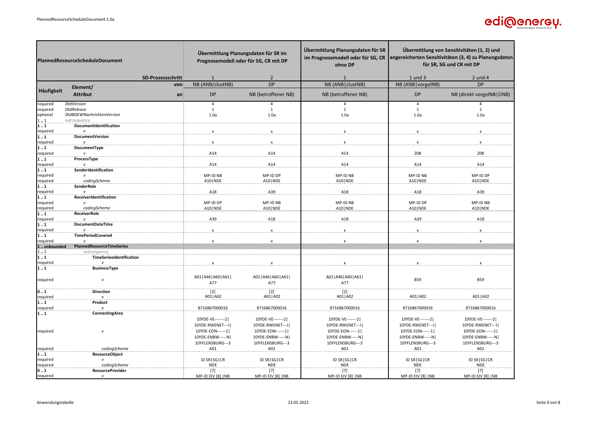

|                        | PlannedResourceScheduleDocument           |                   | Übermittlung Planungsdaten für SR im<br>Prognosemodell oder für SG, CR mit DP |                                      | Übermittlung Planungsdaten für SR<br>im Prognosemodell oder für SG, CR<br>ohne DP | Übermittlung von Sensitivitäten (1, 2) und<br>angereicherten Sensitivitäten (3, 4) zu Planungsdaten<br>für SR, SG und CR mit DP |                                      |
|------------------------|-------------------------------------------|-------------------|-------------------------------------------------------------------------------|--------------------------------------|-----------------------------------------------------------------------------------|---------------------------------------------------------------------------------------------------------------------------------|--------------------------------------|
|                        |                                           | SD-Prozessschritt | -1                                                                            | 2                                    | 1                                                                                 | $1$ und $3$                                                                                                                     | 2 und 4                              |
|                        | Element/                                  | von               | NB (ANB/clustNB)                                                              | <b>DP</b>                            | NB (ANB   clustNB)                                                                | NB (ANB   vorgeINB)                                                                                                             | <b>DP</b>                            |
| Häufigkeit             | <b>Attribut</b>                           | an                | <b>DP</b>                                                                     | NB (betroffener NB)                  | NB (betroffener NB)                                                               | <b>DP</b>                                                                                                                       | NB (direkt vorgeINB   ÜNB)           |
| required               | <b>DtdVersion</b>                         |                   | 4                                                                             | 4                                    | 4                                                                                 | $\overline{4}$                                                                                                                  | 4                                    |
| required               | <b>DtdRelease</b>                         |                   | $\mathbf{1}$                                                                  | $\mathbf{1}$                         | $\mathbf{1}$                                                                      | $\mathbf{1}$                                                                                                                    | $\mathbf{1}$                         |
| optional<br>11         | DtdBDEWNachrichtenVersion<br>xsd:sequence |                   | 1.0a                                                                          | 1.0a                                 | 1.0a                                                                              | 1.0a                                                                                                                            | 1.0a                                 |
| 11                     | DocumentIdentification                    |                   |                                                                               |                                      |                                                                                   |                                                                                                                                 |                                      |
| required               |                                           |                   | $\boldsymbol{\mathsf{x}}$                                                     | x                                    | $\pmb{\mathsf{x}}$                                                                | $\pmb{\chi}$                                                                                                                    | $\boldsymbol{\mathsf{x}}$            |
| 11                     | DocumentVersion                           |                   | $\boldsymbol{\mathsf{x}}$                                                     |                                      |                                                                                   | $\boldsymbol{\mathsf{x}}$                                                                                                       | $\boldsymbol{\mathsf{x}}$            |
| required<br>11         | DocumentType                              |                   |                                                                               | $\pmb{\chi}$                         | x                                                                                 |                                                                                                                                 |                                      |
| required               |                                           |                   | A14                                                                           | A14                                  | A14                                                                               | Z08                                                                                                                             | Z08                                  |
| 11                     | ProcessType                               |                   |                                                                               |                                      |                                                                                   |                                                                                                                                 |                                      |
| required<br>11         | SenderIdentification                      |                   | A14                                                                           | A14                                  | A14                                                                               | A14                                                                                                                             | A14                                  |
| required               |                                           |                   | MP-ID NB                                                                      | MP-ID DP                             | MP-ID NB                                                                          | MP-ID NB                                                                                                                        | MP-ID DP                             |
| required               | codingScheme                              |                   | A10   NDE                                                                     | A10   NDE                            | A10   NDE                                                                         | A10   NDE                                                                                                                       | A10   NDE                            |
| 11                     | <b>SenderRole</b>                         |                   |                                                                               |                                      |                                                                                   |                                                                                                                                 |                                      |
| required<br>11         | ReceiverIdentification                    |                   | A18                                                                           | A39                                  | A18                                                                               | A18                                                                                                                             | A39                                  |
| required               |                                           |                   | MP-ID DP                                                                      | MP-ID NB                             | MP-ID NB                                                                          | MP-ID DP                                                                                                                        | MP-ID NB                             |
| required               | codingScheme                              |                   | A10   NDE                                                                     | A10   NDE                            | A10   NDE                                                                         | A10   NDE                                                                                                                       | A10   NDE                            |
| 11                     | <b>ReceiverRole</b>                       |                   |                                                                               |                                      |                                                                                   |                                                                                                                                 |                                      |
| required<br>11         | DocumentDateTime                          |                   | A39                                                                           | A18                                  | A18                                                                               | A39                                                                                                                             | A18                                  |
| required               |                                           |                   | $\mathsf{x}$                                                                  | $\pmb{\mathsf{x}}$                   | $\pmb{\mathsf{x}}$                                                                | $\boldsymbol{\mathsf{x}}$                                                                                                       | $\mathsf{x}$                         |
| 11                     | <b>TimePeriodCovered</b>                  |                   |                                                                               |                                      |                                                                                   |                                                                                                                                 |                                      |
| required<br>1unbounded | PlannedResourceTimeSeries                 |                   | $\pmb{\times}$                                                                | $\pmb{\mathsf{x}}$                   | $\pmb{\chi}$                                                                      | $\pmb{\chi}$                                                                                                                    | $\pmb{\chi}$                         |
| 11                     | xsd:sequence                              |                   |                                                                               |                                      |                                                                                   |                                                                                                                                 |                                      |
| 11                     | TimeSeriesIdentification                  |                   |                                                                               |                                      |                                                                                   |                                                                                                                                 |                                      |
| required               |                                           |                   | $\mathbf{x}$                                                                  | $\mathbf{x}$                         | $\boldsymbol{\mathsf{x}}$                                                         | $\mathbf{x}$                                                                                                                    |                                      |
| 11                     | <b>BusinessType</b>                       |                   |                                                                               |                                      |                                                                                   |                                                                                                                                 |                                      |
| required               | $\mathsf{v}$                              |                   | A01   A46   A60   A61                                                         | A01   A46   A60   A61                | A01   A46   A60   A61                                                             | <b>B59</b>                                                                                                                      | <b>B59</b>                           |
|                        |                                           |                   | A77                                                                           | A77                                  | A77                                                                               |                                                                                                                                 |                                      |
| 01                     | <b>Direction</b>                          |                   | $[2]$                                                                         | $[2]$                                | $[2]$                                                                             |                                                                                                                                 |                                      |
| required               | $\mathbf{v}$                              |                   | A01   A02                                                                     | A01   A02                            | A01   A02                                                                         | A01   A02                                                                                                                       | A01   A02                            |
| 11<br>required         | Product<br>$\mathsf{v}$                   |                   | 8716867000016                                                                 | 8716867000016                        | 8716867000016                                                                     | 8716867000016                                                                                                                   | 8716867000016                        |
| 11                     | ConnectingArea                            |                   |                                                                               |                                      |                                                                                   |                                                                                                                                 |                                      |
|                        |                                           |                   | 10YDE-VE-------2                                                              | 10YDE-VE-------2                     | 10YDE-VE-------2                                                                  | 10YDE-VE-------2                                                                                                                | 10YDE-VE-------2                     |
|                        |                                           |                   | 10YDE-RWENET---I                                                              | 10YDE-RWENET---I                     | 10YDE-RWENET---I                                                                  | 10YDE-RWENET---I                                                                                                                | 10YDE-RWENET--- I                    |
| required               | V                                         |                   | 10YDE-EON------1                                                              | 10YDE-EON------1                     | 10YDE-EON------1                                                                  | 10YDE-EON------1                                                                                                                | 10YDE-EON------1                     |
|                        |                                           |                   | 10YDE-ENBW-----N<br>10YFLENSBURG---3                                          | 10YDE-ENBW-----N<br>10YFLENSBURG---3 | 10YDE-ENBW-----N<br>10YFLENSBURG---3                                              | 10YDE-ENBW-----N<br>10YFLENSBURG---3                                                                                            | 10YDE-ENBW-----N<br>10YFLENSBURG---3 |
| required               | codingScheme                              |                   | A01                                                                           | A01                                  | A01                                                                               | A01                                                                                                                             | A01                                  |
| 11                     | <b>ResourceObject</b>                     |                   |                                                                               |                                      |                                                                                   |                                                                                                                                 |                                      |
| required               |                                           |                   | ID SR   SG   CR                                                               | ID SR   SG   CR                      | ID SR   SG   CR                                                                   | ID SR   SG   CR                                                                                                                 | ID SR   SG   CR                      |
| required<br>01         | codingScheme<br><b>ResourceProvider</b>   |                   | <b>NDE</b><br>[7]                                                             | <b>NDE</b><br>$[7]$                  | <b>NDE</b><br>$[7]$                                                               | <b>NDE</b><br>$[7]$                                                                                                             | <b>NDE</b><br>$[7]$                  |
| required               | $\mathsf{v}$                              |                   | MP-ID EIV [8]  NB                                                             | MP-ID EIV [8]  NB                    | MP-ID EIV [8]  NB                                                                 | MP-ID EIV [8]  NB                                                                                                               | MP-ID EIV [8]  NB                    |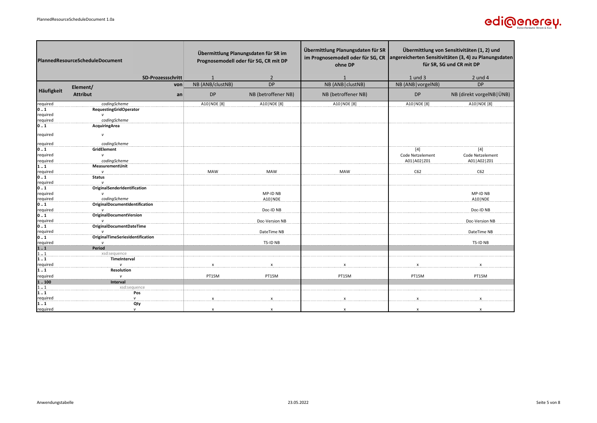

| <b>PlannedResourceScheduleDocument</b> |                                  |                           | Übermittlung Planungsdaten für SR im<br>Prognosemodell oder für SG, CR mit DP | Übermittlung Planungsdaten für SR<br>im Prognosemodell oder für SG, CR<br>ohne DP | Übermittlung von Sensitivitäten (1, 2) und<br>angereicherten Sensitivitäten (3, 4) zu Planungsdaten<br>für SR, SG und CR mit DP |                            |
|----------------------------------------|----------------------------------|---------------------------|-------------------------------------------------------------------------------|-----------------------------------------------------------------------------------|---------------------------------------------------------------------------------------------------------------------------------|----------------------------|
|                                        | SD-Prozessschritt                |                           |                                                                               |                                                                                   | 1 und 3                                                                                                                         | 2 und 4                    |
|                                        | von<br>Element/                  | NB (ANB/clustNB)          | DP                                                                            | NB (ANB   clustNB)                                                                | NB (ANB   vorgelNB)                                                                                                             | <b>DP</b>                  |
| Häufigkeit                             | <b>Attribut</b><br>an            | <b>DP</b>                 | NB (betroffener NB)                                                           | NB (betroffener NB)                                                               | <b>DP</b>                                                                                                                       | NB (direkt vorgeINB   ÜNB) |
| required                               | codingScheme                     | A10   NDE [8]             | A10   NDE [8]                                                                 | A10   NDE [8]                                                                     | A10   NDE [8]                                                                                                                   | A10   NDE [8]              |
| 01                                     | <b>RequestingGridOperator</b>    |                           |                                                                               |                                                                                   |                                                                                                                                 |                            |
| required                               | $\mathsf{v}$                     |                           |                                                                               |                                                                                   |                                                                                                                                 |                            |
| required<br>0.1                        | codingScheme<br>AcquiringArea    |                           |                                                                               |                                                                                   |                                                                                                                                 |                            |
|                                        |                                  |                           |                                                                               |                                                                                   |                                                                                                                                 |                            |
| required                               | v                                |                           |                                                                               |                                                                                   |                                                                                                                                 |                            |
| required                               | codingScheme                     |                           |                                                                               |                                                                                   |                                                                                                                                 |                            |
| 0.1                                    | GridElement                      |                           |                                                                               |                                                                                   | $[4]$                                                                                                                           | [4]                        |
| required                               | v                                |                           |                                                                               |                                                                                   | Code Netzelement                                                                                                                | Code Netzelement           |
| required                               | codingScheme                     |                           |                                                                               |                                                                                   | A01   A02   Z01                                                                                                                 | A01   A02   Z01            |
| 1.1<br>required                        | MeasurementUnit<br>$\mathsf{v}$  | <b>MAW</b>                | MAW                                                                           | <b>MAW</b>                                                                        | C62                                                                                                                             | C62                        |
| 0.1                                    | <b>Status</b>                    |                           |                                                                               |                                                                                   |                                                                                                                                 |                            |
| required                               |                                  |                           |                                                                               |                                                                                   |                                                                                                                                 |                            |
| 0.1                                    | OriginalSenderIdentification     |                           |                                                                               |                                                                                   |                                                                                                                                 |                            |
| required                               | $\mathsf{v}$                     |                           | MP-ID NB                                                                      |                                                                                   |                                                                                                                                 | MP-ID NB                   |
| required                               | codingScheme                     |                           | A10   NDE                                                                     |                                                                                   |                                                                                                                                 | A10   NDE                  |
| 0.1                                    | OriginalDocumentIdentification   |                           |                                                                               |                                                                                   |                                                                                                                                 |                            |
| required                               | $\mathbf{v}$                     |                           | Doc-ID NB                                                                     |                                                                                   |                                                                                                                                 | Doc-ID NB                  |
| $\mathbf{0} \dots \mathbf{1}$          | <b>OriginalDocumentVersion</b>   |                           |                                                                               |                                                                                   |                                                                                                                                 |                            |
| required                               |                                  |                           | Doc-Version NB                                                                |                                                                                   |                                                                                                                                 | Doc-Version NB             |
| 01                                     | OriginalDocumentDateTime         |                           |                                                                               |                                                                                   |                                                                                                                                 |                            |
| required                               | OriginalTimeSeriesIdentification |                           | DateTime NB                                                                   |                                                                                   |                                                                                                                                 | DateTime NB                |
| 01 <br>required                        | $\mathbf{v}$                     |                           | TS-ID NB                                                                      |                                                                                   |                                                                                                                                 | TS-ID NB                   |
| 11                                     | Period                           |                           |                                                                               |                                                                                   |                                                                                                                                 |                            |
| 11                                     | xsd:sequence                     |                           |                                                                               |                                                                                   |                                                                                                                                 |                            |
| 1.1                                    | TimeInterval                     |                           |                                                                               |                                                                                   |                                                                                                                                 |                            |
| required                               | $\mathbf{v}$                     | $\mathsf{x}$              | $\mathsf{x}$                                                                  | $\pmb{\times}$                                                                    | $\boldsymbol{\mathsf{x}}$                                                                                                       | $\mathsf{x}$               |
| 11                                     | Resolution                       |                           |                                                                               |                                                                                   |                                                                                                                                 |                            |
| required                               | $\mathsf{v}$                     | PT15M                     | PT15M                                                                         | PT15M                                                                             | PT15M                                                                                                                           | PT15M                      |
| 1.100                                  | Interval                         |                           |                                                                               |                                                                                   |                                                                                                                                 |                            |
| 11                                     | xsd:sequence                     |                           |                                                                               |                                                                                   |                                                                                                                                 |                            |
| 1.1                                    | Pos                              |                           |                                                                               |                                                                                   |                                                                                                                                 |                            |
| required                               | v                                | $\boldsymbol{\mathsf{x}}$ |                                                                               | x                                                                                 | $\mathsf{x}$                                                                                                                    | $\mathsf{x}$               |
| 11                                     | Qty                              |                           |                                                                               |                                                                                   |                                                                                                                                 |                            |
| required                               | $\mathsf{v}$                     | $\boldsymbol{\mathsf{x}}$ |                                                                               | $\mathbf x$                                                                       |                                                                                                                                 | $\mathbf{x}$               |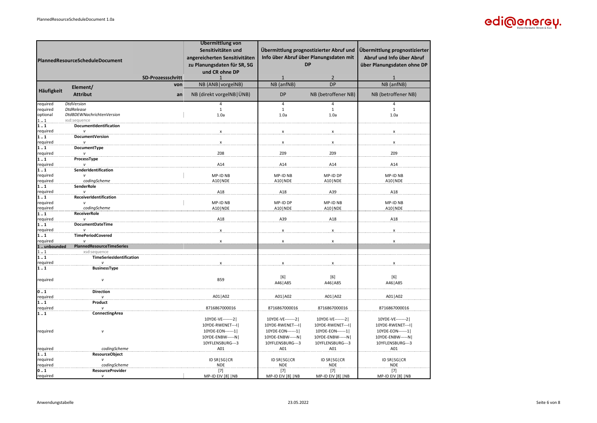

|                                    |                                          |     | Übermittlung von                     |                                      |                                         |                                      |
|------------------------------------|------------------------------------------|-----|--------------------------------------|--------------------------------------|-----------------------------------------|--------------------------------------|
|                                    |                                          |     | Sensitivitäten und                   |                                      | Übermittlung prognostizierter Abruf und | Übermittlung prognostizierter        |
|                                    |                                          |     | angereicherten Sensitivitäten        |                                      | Info über Abruf über Planungsdaten mit  | Abruf und Info über Abruf            |
| PlannedResourceScheduleDocument    |                                          |     | zu Planungsdaten für SR, SG          | <b>DP</b>                            |                                         | über Planungsdaten ohne DP           |
|                                    |                                          |     | und CR ohne DP                       |                                      |                                         |                                      |
|                                    | SD-Prozessschritt                        |     | 1                                    | $\mathbf{1}$                         | 2                                       | $\mathbf{1}$                         |
|                                    | Element/                                 | von | NB (ANB vorgeINB)                    | NB (anfNB)                           | <b>DP</b>                               | NB (anfNB)                           |
| Häufigkeit                         | <b>Attribut</b>                          | an  | NB (direkt vorgeINB   ÜNB)           | <b>DP</b>                            | NB (betroffener NB)                     | NB (betroffener NB)                  |
| required                           | <b>DtdVersion</b>                        |     | $\overline{4}$                       | $\overline{4}$                       | 4                                       | 4                                    |
| required                           | <b>DtdRelease</b>                        |     | $\mathbf{1}$                         | $\mathbf{1}$                         | $\mathbf{1}$                            | $\mathbf{1}$                         |
| optional                           | DtdBDEWNachrichtenVersion                |     | 1.0a                                 | 1.0a                                 | 1.0a                                    | 1.0a                                 |
| 11<br>11                           | xsd:sequence<br>DocumentIdentification   |     |                                      |                                      |                                         |                                      |
| required                           | v                                        |     |                                      |                                      | X                                       |                                      |
| 11                                 | DocumentVersion                          |     |                                      |                                      |                                         |                                      |
| required<br>11                     | DocumentType                             |     | $\pmb{\mathsf{x}}$                   | $\pmb{\times}$                       | $\pmb{\chi}$                            | $\pmb{\times}$                       |
| required                           |                                          |     | Z08                                  | Z09                                  | Z09                                     | Z09                                  |
| 11                                 | ProcessType                              |     |                                      |                                      |                                         |                                      |
| required                           | v                                        |     | A14                                  | A14                                  | A14                                     | A14                                  |
| 11                                 | SenderIdentification                     |     |                                      |                                      |                                         |                                      |
| required<br>required               | $\mathbf{v}$<br>codingScheme             |     | MP-ID NB<br>A10   NDE                | MP-ID NB<br>A10   NDE                | MP-ID DP<br>A10   NDE                   | MP-ID NB<br>A10   NDE                |
| $\overline{1}$ $\overline{1}$      | <b>SenderRole</b>                        |     |                                      |                                      |                                         |                                      |
| required                           | $\overline{V}$                           |     | A18                                  | A18                                  | A39                                     | A18                                  |
| $\overline{1}$ $\overline{1}$      | ReceiverIdentification                   |     |                                      |                                      |                                         |                                      |
| required<br>required               | $\mathbf{v}$<br>codingScheme             |     | MP-ID NB<br>A10   NDE                | MP-ID DP<br>A10   NDE                | MP-ID NB<br>A10   NDE                   | MP-ID NB<br>A10   NDE                |
| 11                                 | <b>ReceiverRole</b>                      |     |                                      |                                      |                                         |                                      |
| required                           | $\mathbf{v}$                             |     | A18                                  | A39                                  | A18                                     | A18                                  |
| 11                                 | DocumentDateTime                         |     |                                      |                                      |                                         |                                      |
| required<br>11                     | v<br><b>TimePeriodCovered</b>            |     | $\pmb{\times}$                       | $\pmb{\times}$                       | $\pmb{\times}$                          | x                                    |
| required                           | $\mathbf{v}$                             |     | $\boldsymbol{\mathsf{x}}$            | x                                    | x                                       | x                                    |
| 1unbounded                         | <b>PlannedResourceTimeSeries</b>         |     |                                      |                                      |                                         |                                      |
| 11                                 | xsd:sequence<br>TimeSeriesIdentification |     |                                      |                                      |                                         |                                      |
| 11<br>required                     |                                          |     |                                      |                                      | $\boldsymbol{\mathsf{x}}$               |                                      |
| 11                                 | <b>BusinessType</b>                      |     |                                      |                                      |                                         |                                      |
|                                    |                                          |     |                                      | [6]                                  | [6]                                     | [6]                                  |
| required                           | $\mathsf{v}$                             |     | <b>B59</b>                           | A46   A85                            | A46   A85                               | A46   A85                            |
| 01                                 |                                          |     |                                      |                                      |                                         |                                      |
| required                           | <b>Direction</b>                         |     | A01   A02                            | A01   A02                            | A01   A02                               | A01   A02                            |
| $\overline{1}$ $\overline{1}$      | Product                                  |     |                                      |                                      |                                         |                                      |
| required                           |                                          |     | 8716867000016                        | 8716867000016                        | 8716867000016                           | 8716867000016                        |
| ${\bf 1} \ldots {\bf 1}$           | ConnectingArea                           |     |                                      |                                      |                                         |                                      |
|                                    |                                          |     | 10YDE-VE-------2<br>10YDE-RWENET---I | 10YDE-VE-------2<br>10YDE-RWENET---I | 10YDE-VE-------2<br>10YDE-RWENET---I    | 10YDE-VE-------2<br>10YDE-RWENET---I |
| required                           | v                                        |     | 10YDE-EON------1                     | 10YDE-EON------1                     | 10YDE-EON------1                        | 10YDE-EON------1                     |
|                                    |                                          |     | 10YDE-ENBW-----N                     | 10YDE-ENBW-----N                     | 10YDE-ENBW-----N                        | 10YDE-ENBW-----N                     |
|                                    |                                          |     | 10YFLENSBURG---3                     | 10YFLENSBURG---3                     | 10YFLENSBURG---3                        | 10YFLENSBURG---3                     |
| required                           | codingScheme                             |     | A01                                  | A01                                  | A01                                     | A01                                  |
| $\overline{1} \ldots \overline{1}$ | <b>ResourceObject</b>                    |     |                                      |                                      |                                         |                                      |
| required<br>required               | codingScheme                             |     | ID SR   SG   CR<br><b>NDE</b>        | ID SR   SG   CR<br><b>NDE</b>        | ID SR   SG   CR<br><b>NDE</b>           | ID SR   SG   CR<br><b>NDE</b>        |
| 01                                 | <b>ResourceProvider</b>                  |     | $[7]$                                | $[7]$                                | $[7]$                                   | $[7]$                                |
| required                           | $\mathsf{v}$                             |     | MP-ID EIV [8]  NB                    | MP-ID EIV [8]   NB                   | MP-ID EIV [8]  NB                       | MP-ID EIV [8]  NB                    |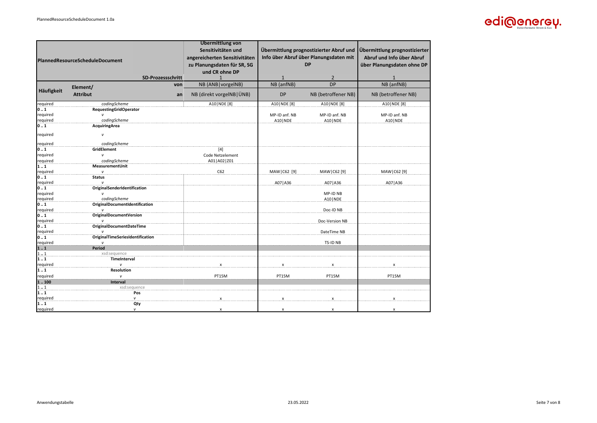

|                                 |                                  | Übermittlung von              |                                        |                                         |                               |
|---------------------------------|----------------------------------|-------------------------------|----------------------------------------|-----------------------------------------|-------------------------------|
|                                 |                                  | Sensitivitäten und            |                                        | Übermittlung prognostizierter Abruf und | Übermittlung prognostizierter |
|                                 |                                  |                               |                                        |                                         |                               |
| PlannedResourceScheduleDocument |                                  | angereicherten Sensitivitäten | Info über Abruf über Planungsdaten mit |                                         | Abruf und Info über Abruf     |
|                                 |                                  | zu Planungsdaten für SR, SG   |                                        | <b>DP</b>                               | über Planungsdaten ohne DP    |
|                                 |                                  | und CR ohne DP                |                                        |                                         |                               |
|                                 | <b>SD-Prozessschritt</b>         | $\mathbf{1}$                  | $\mathbf{1}$                           | $\overline{2}$                          | $\mathbf{1}$                  |
|                                 | von<br>Element/                  | NB (ANB   vorgelNB)           | NB (anfNB)                             | <b>DP</b>                               | NB (anfNB)                    |
| Häufigkeit                      | <b>Attribut</b><br>an            | NB (direkt vorgeINB   ÜNB)    | <b>DP</b>                              | NB (betroffener NB)                     | NB (betroffener NB)           |
| required                        | codingScheme                     | A10   NDE [8]                 | A10   NDE [8]                          | A10   NDE [8]                           | A10   NDE [8]                 |
| IO  1                           | <b>RequestingGridOperator</b>    |                               |                                        |                                         |                               |
| required                        | $\mathbf{v}$                     |                               | MP-ID anf. NB                          | MP-ID anf. NB                           | MP-ID anf. NB                 |
| required                        | codingScheme                     |                               | A10   NDE                              | A10   NDE                               | A10   NDE                     |
| 0.1                             | <b>AcquiringArea</b>             |                               |                                        |                                         |                               |
| required                        | v                                |                               |                                        |                                         |                               |
| required                        | codingScheme                     |                               |                                        |                                         |                               |
| 0.1                             | GridElement                      | $[4]$                         |                                        |                                         |                               |
| required                        | v                                | Code Netzelement              |                                        |                                         |                               |
| required                        | codingScheme                     | A01   A02   Z01               |                                        |                                         |                               |
| 11                              | MeasurementUnit                  |                               |                                        |                                         |                               |
| required                        | v                                | C62                           | MAW   C62 [9]                          | MAW   C62 [9]                           | MAW   C62 [9]                 |
| 0.1                             | <b>Status</b>                    |                               |                                        |                                         |                               |
| required                        |                                  |                               | A07   A36                              | A07   A36                               | A07   A36                     |
| 0.1                             | OriginalSenderIdentification     |                               |                                        |                                         |                               |
| required                        | v                                |                               |                                        | MP-ID NB                                |                               |
| required                        | codingScheme                     |                               |                                        | A10   NDE                               |                               |
| 0.1                             | OriginalDocumentIdentification   |                               |                                        |                                         |                               |
| required                        |                                  |                               |                                        | Doc-ID NB                               |                               |
| 0.1<br>required                 | <b>OriginalDocumentVersion</b>   |                               |                                        | Doc-Version NB                          |                               |
| 0.1                             | <b>OriginalDocumentDateTime</b>  |                               |                                        |                                         |                               |
| required                        |                                  |                               |                                        | DateTime NB                             |                               |
| 0.1                             | OriginalTimeSeriesIdentification |                               |                                        |                                         |                               |
| required                        | $\mathbf{v}$                     |                               |                                        | <b>TS-ID NB</b>                         |                               |
| 11                              | <b>Period</b>                    |                               |                                        |                                         |                               |
| 11                              | xsd:sequence                     |                               |                                        |                                         |                               |
| 1.1                             | TimeInterval                     |                               |                                        |                                         |                               |
| required                        | v                                | x                             | X                                      | x                                       | X                             |
| 1.1                             | <b>Resolution</b>                |                               |                                        |                                         |                               |
| required                        | $\mathsf{v}$                     | PT15M                         | PT15M                                  | PT15M                                   | PT15M                         |
| 1.100                           | <b>Interval</b>                  |                               |                                        |                                         |                               |
| 11                              | xsd:sequence                     |                               |                                        |                                         |                               |
| 11                              | Pos                              |                               |                                        |                                         |                               |
| required                        | $\mathsf{v}$                     | $\mathbf{x}$                  |                                        | X                                       | x                             |
| 1.1                             | Qty                              |                               |                                        |                                         |                               |
| required                        | $\mathsf{v}$                     | $\boldsymbol{x}$              | $\boldsymbol{\mathsf{x}}$              | $\mathbf{x}$                            | x                             |